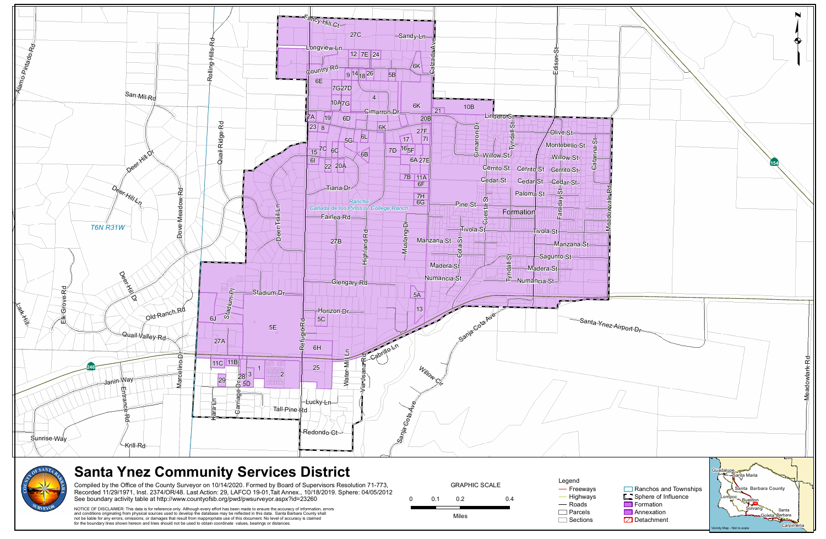



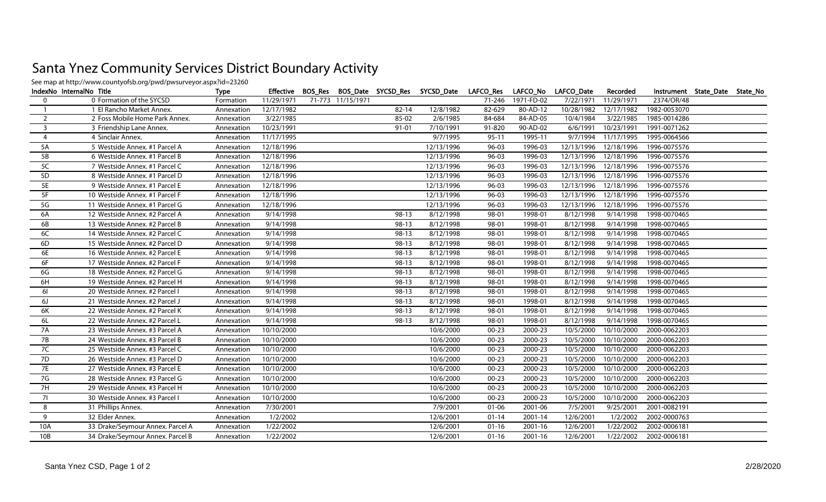## Santa Ynez Community Services District Boundary Activit y

See map at http://www.countyofsb.org/pwd/pwsurveyor.aspx?id=23260

| IndexNo InternalNo Title |                                  | <b>Type</b> |            |                   |           | Effective BOS_Res BOS_Date SYCSD_Res SYCSD_Date LAFCO_Res LAFCO_No LAFCO_Date |           |                   |            | Recorded              |              | Instrument State_Date State_No |  |
|--------------------------|----------------------------------|-------------|------------|-------------------|-----------|-------------------------------------------------------------------------------|-----------|-------------------|------------|-----------------------|--------------|--------------------------------|--|
| $\overline{0}$           | 0 Formation of the SYCSD         | Formation   | 11/29/1971 | 71-773 11/15/1971 |           |                                                                               |           | 71-246 1971-FD-02 | 7/22/1971  | 11/29/1971            | 2374/OR/48   |                                |  |
| $\overline{1}$           | 1 El Rancho Market Annex.        | Annexation  | 12/17/1982 |                   | $82 - 14$ | 12/8/1982                                                                     | 82-629    | 80-AD-12          | 10/28/1982 | 12/17/1982            | 1982-0053070 |                                |  |
| $\overline{2}$           | 2 Foss Mobile Home Park Annex.   | Annexation  | 3/22/1985  |                   | 85-02     | 2/6/1985                                                                      | 84-684    | 84-AD-05          | 10/4/1984  | 3/22/1985             | 1985-0014286 |                                |  |
| $\overline{\mathbf{3}}$  | 3 Friendship Lane Annex.         | Annexation  | 10/23/1991 |                   | 91-01     | 7/10/1991                                                                     | 91-820    | 90-AD-02          | 6/6/1991   | 10/23/1991            | 1991-0071262 |                                |  |
| $\overline{4}$           | 4 Sinclair Annex.                | Annexation  | 11/17/1995 |                   |           | 9/7/1995                                                                      | $95 - 11$ | 1995-11           | 9/7/1994   | 11/17/1995            | 1995-0064566 |                                |  |
| 5A                       | 5 Westside Annex. #1 Parcel A    | Annexation  | 12/18/1996 |                   |           | 12/13/1996                                                                    | $96 - 03$ | 1996-03           | 12/13/1996 | 12/18/1996            | 1996-0075576 |                                |  |
| 5B                       | 6 Westside Annex. #1 Parcel B    | Annexation  | 12/18/1996 |                   |           | 12/13/1996                                                                    | $96 - 03$ | 1996-03           | 12/13/1996 | 12/18/1996            | 1996-0075576 |                                |  |
| 5C                       | 7 Westside Annex. #1 Parcel C    | Annexation  | 12/18/1996 |                   |           | 12/13/1996                                                                    | $96 - 03$ | 1996-03           | 12/13/1996 | 12/18/1996            | 1996-0075576 |                                |  |
| 5D                       | 8 Westside Annex. #1 Parcel D    | Annexation  | 12/18/1996 |                   |           | 12/13/1996                                                                    | $96 - 03$ | 1996-03           | 12/13/1996 | 12/18/1996            | 1996-0075576 |                                |  |
| <b>5E</b>                | 9 Westside Annex. #1 Parcel E    | Annexation  | 12/18/1996 |                   |           | 12/13/1996                                                                    | $96 - 03$ | 1996-03           | 12/13/1996 | 12/18/1996            | 1996-0075576 |                                |  |
| 5F                       | 10 Westside Annex. #1 Parcel F   | Annexation  | 12/18/1996 |                   |           | 12/13/1996                                                                    | $96 - 03$ | 1996-03           | 12/13/1996 | 12/18/1996            | 1996-0075576 |                                |  |
| 5G                       | 11 Westside Annex. #1 Parcel G   | Annexation  | 12/18/1996 |                   |           | 12/13/1996                                                                    | $96 - 03$ | 1996-03           |            | 12/13/1996 12/18/1996 | 1996-0075576 |                                |  |
| 6A                       | 12 Westside Annex. #2 Parcel A   | Annexation  | 9/14/1998  |                   | 98-13     | 8/12/1998                                                                     | 98-01     | 1998-01           | 8/12/1998  | 9/14/1998             | 1998-0070465 |                                |  |
| 6B                       | 13 Westside Annex. #2 Parcel B   | Annexation  | 9/14/1998  |                   | $98-13$   | 8/12/1998                                                                     | 98-01     | 1998-01           | 8/12/1998  | 9/14/1998             | 1998-0070465 |                                |  |
| 6C                       | 14 Westside Annex. #2 Parcel C   | Annexation  | 9/14/1998  |                   | 98-13     | 8/12/1998                                                                     | 98-01     | 1998-01           | 8/12/1998  | 9/14/1998             | 1998-0070465 |                                |  |
| 6D                       | 15 Westside Annex. #2 Parcel D   | Annexation  | 9/14/1998  |                   | 98-13     | 8/12/1998                                                                     | 98-01     | 1998-01           | 8/12/1998  | 9/14/1998             | 1998-0070465 |                                |  |
| 6E                       | 16 Westside Annex. #2 Parcel E   | Annexation  | 9/14/1998  |                   | 98-13     | 8/12/1998                                                                     | 98-01     | 1998-01           | 8/12/1998  | 9/14/1998             | 1998-0070465 |                                |  |
| 6F                       | 17 Westside Annex. #2 Parcel F   | Annexation  | 9/14/1998  |                   | $98-13$   | 8/12/1998                                                                     | 98-01     | 1998-01           | 8/12/1998  | 9/14/1998             | 1998-0070465 |                                |  |
| 6G                       | 18 Westside Annex. #2 Parcel G   | Annexation  | 9/14/1998  |                   | $98-13$   | 8/12/1998                                                                     | 98-01     | 1998-01           | 8/12/1998  | 9/14/1998             | 1998-0070465 |                                |  |
| 6H                       | 19 Westside Annex. #2 Parcel H   | Annexation  | 9/14/1998  |                   | $98-13$   | 8/12/1998                                                                     | 98-01     | 1998-01           | 8/12/1998  | 9/14/1998             | 1998-0070465 |                                |  |
| 61                       | 20 Westside Annex. #2 Parcel I   | Annexation  | 9/14/1998  |                   | $98-13$   | 8/12/1998                                                                     | 98-01     | 1998-01           | 8/12/1998  | 9/14/1998             | 1998-0070465 |                                |  |
| 6J                       | 21 Westside Annex. #2 Parcel J   | Annexation  | 9/14/1998  |                   | 98-13     | 8/12/1998                                                                     | 98-01     | 1998-01           | 8/12/1998  | 9/14/1998             | 1998-0070465 |                                |  |
| 6K                       | 22 Westside Annex. #2 Parcel K   | Annexation  | 9/14/1998  |                   | 98-13     | 8/12/1998                                                                     | 98-01     | 1998-01           | 8/12/1998  | 9/14/1998             | 1998-0070465 |                                |  |
| 6L                       | 22 Westside Annex. #2 Parcel L   | Annexation  | 9/14/1998  |                   | $98-13$   | 8/12/1998                                                                     | 98-01     | 1998-01           | 8/12/1998  | 9/14/1998             | 1998-0070465 |                                |  |
| <b>7A</b>                | 23 Westside Annex. #3 Parcel A   | Annexation  | 10/10/2000 |                   |           | 10/6/2000                                                                     | $00 - 23$ | 2000-23           | 10/5/2000  | 10/10/2000            | 2000-0062203 |                                |  |
| 7B                       | 24 Westside Annex. #3 Parcel B   | Annexation  | 10/10/2000 |                   |           | 10/6/2000                                                                     | $00 - 23$ | 2000-23           | 10/5/2000  | 10/10/2000            | 2000-0062203 |                                |  |
| 7C                       | 25 Westside Annex. #3 Parcel C   | Annexation  | 10/10/2000 |                   |           | 10/6/2000                                                                     | $00 - 23$ | 2000-23           | 10/5/2000  | 10/10/2000            | 2000-0062203 |                                |  |
| 7D                       | 26 Westside Annex. #3 Parcel D   | Annexation  | 10/10/2000 |                   |           | 10/6/2000                                                                     | $00 - 23$ | 2000-23           | 10/5/2000  | 10/10/2000            | 2000-0062203 |                                |  |
| <b>7E</b>                | 27 Westside Annex. #3 Parcel E   | Annexation  | 10/10/2000 |                   |           | 10/6/2000                                                                     | $00 - 23$ | 2000-23           | 10/5/2000  | 10/10/2000            | 2000-0062203 |                                |  |
| 7G                       | 28 Westside Annex. #3 Parcel G   | Annexation  | 10/10/2000 |                   |           | 10/6/2000                                                                     | $00 - 23$ | 2000-23           | 10/5/2000  | 10/10/2000            | 2000-0062203 |                                |  |
| 7H                       | 29 Westside Annex. #3 Parcel H   | Annexation  | 10/10/2000 |                   |           | 10/6/2000                                                                     | $00 - 23$ | 2000-23           | 10/5/2000  | 10/10/2000            | 2000-0062203 |                                |  |
| 71                       | 30 Westside Annex. #3 Parcel I   | Annexation  | 10/10/2000 |                   |           | 10/6/2000                                                                     | $00 - 23$ | 2000-23           | 10/5/2000  | 10/10/2000            | 2000-0062203 |                                |  |
| 8                        | 31 Phillips Annex.               | Annexation  | 7/30/2001  |                   |           | 7/9/2001                                                                      | $01 - 06$ | 2001-06           | 7/5/2001   | 9/25/2001             | 2001-0082191 |                                |  |
| 9                        | 32 Elder Annex.                  | Annexation  | 1/2/2002   |                   |           | 12/6/2001                                                                     | $01 - 14$ | 2001-14           | 12/6/2001  | 1/2/2002              | 2002-0000763 |                                |  |
| 10A                      | 33 Drake/Seymour Annex. Parcel A | Annexation  | 1/22/2002  |                   |           | 12/6/2001                                                                     | $01 - 16$ | 2001-16           | 12/6/2001  | 1/22/2002             | 2002-0006181 |                                |  |
| 10B                      | 34 Drake/Seymour Annex. Parcel B | Annexation  | 1/22/2002  |                   |           | 12/6/2001                                                                     | $01-16$   | 2001-16           | 12/6/2001  | 1/22/2002             | 2002-0006181 |                                |  |